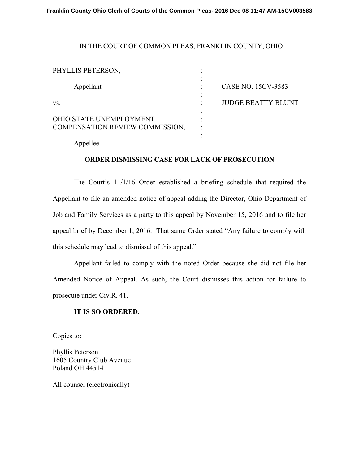## IN THE COURT OF COMMON PLEAS, FRANKLIN COUNTY, OHIO

| PHYLLIS PETERSON,                                          |                           |
|------------------------------------------------------------|---------------------------|
| Appellant                                                  | CASE NO. 15CV-3583        |
| VS.                                                        | <b>JUDGE BEATTY BLUNT</b> |
| OHIO STATE UNEMPLOYMENT<br>COMPENSATION REVIEW COMMISSION, |                           |
|                                                            |                           |

Appellee.

## **ORDER DISMISSING CASE FOR LACK OF PROSECUTION**

 The Court's 11/1/16 Order established a briefing schedule that required the Appellant to file an amended notice of appeal adding the Director, Ohio Department of Job and Family Services as a party to this appeal by November 15, 2016 and to file her appeal brief by December 1, 2016. That same Order stated "Any failure to comply with this schedule may lead to dismissal of this appeal."

 Appellant failed to comply with the noted Order because she did not file her Amended Notice of Appeal. As such, the Court dismisses this action for failure to prosecute under Civ.R. 41.

## **IT IS SO ORDERED**.

Copies to:

Phyllis Peterson 1605 Country Club Avenue Poland OH 44514

All counsel (electronically)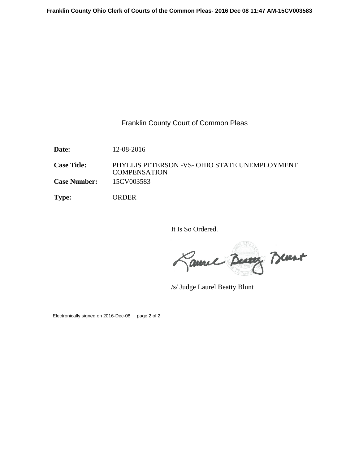## Franklin County Court of Common Pleas

**Date:** 12-08-2016

**Case Title:** PHYLLIS PETERSON -VS- OHIO STATE UNEMPLOYMENT **COMPENSATION Case Number:** 15CV003583

**Type:** ORDER

It Is So Ordered.

Laure Beaux Brunt

/s/ Judge Laurel Beatty Blunt

Electronically signed on 2016-Dec-08 page 2 of 2